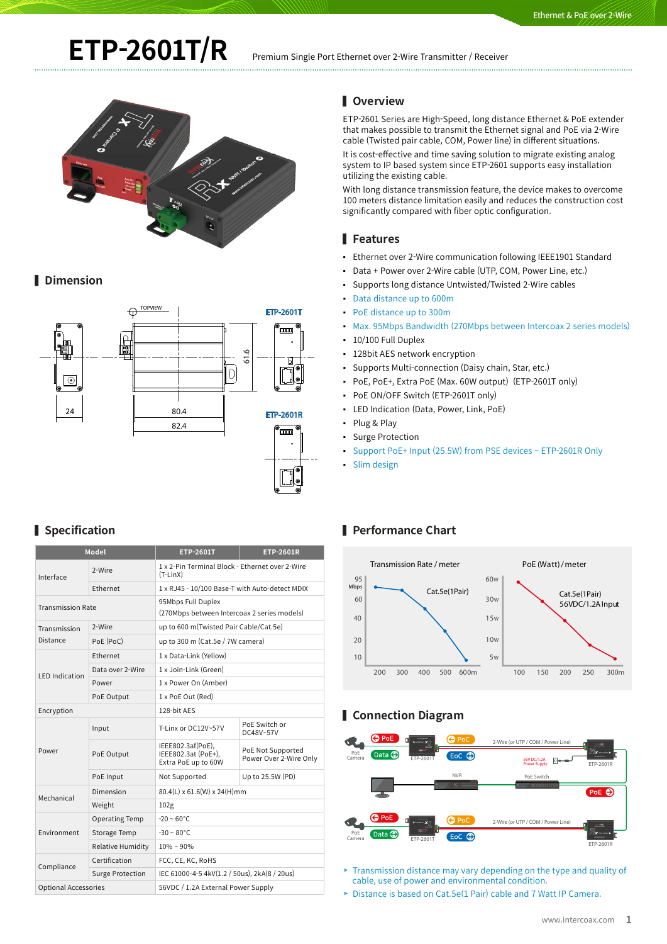# **ETP-2601T/R** Premium Single Port Ethernet over 2-Wire Transmitter / Receiver



## **▌ Dimension**



## **▌ Specification**

| <b>Model</b>                |                         | <b>ETP-2601T</b>                                                  | <b>ETP-2601R</b>                            |
|-----------------------------|-------------------------|-------------------------------------------------------------------|---------------------------------------------|
| Interface                   | 2-Wire                  | 1 x 2-Pin Terminal Block - Ethernet over 2-Wire<br>$(T-LinX)$     |                                             |
|                             | Ethernet                | 1 x RJ45 - 10/100 Base-T with Auto-detect MDIX                    |                                             |
| <b>Transmission Rate</b>    |                         | 95Mbps Full Duplex<br>(270Mbps between Intercoax 2 series models) |                                             |
| Transmission<br>Distance    | 2-Wire                  | up to 600 m(Twisted Pair Cable/Cat.5e)                            |                                             |
|                             | PoE (PoC)               | up to 300 m (Cat.5e / 7W camera)                                  |                                             |
| <b>LED</b> Indication       | Ethernet                | 1 x Data-Link (Yellow)                                            |                                             |
|                             | Data over 2-Wire        | 1 x Join-Link (Green)                                             |                                             |
|                             | Power                   | 1 x Power On (Amber)                                              |                                             |
|                             | PoE Output              | 1 x PoE Out (Red)                                                 |                                             |
| Encryption                  |                         | 128-bit AES                                                       |                                             |
| Power                       | Input                   | T-Linx or DC12V~57V                                               | PoE Switch or<br>DC48V~57V                  |
|                             | PoE Output              | IEEE802.3af(PoE),<br>IEEE802.3at (PoE+),<br>Extra PoE up to 60W   | PoE Not Supported<br>Power Over 2-Wire Only |
|                             | PoE Input               | Not Supported                                                     | Up to 25.5W (PD)                            |
| Mechanical                  | Dimension               | 80.4(L) x 61.6(W) x 24(H)mm                                       |                                             |
|                             | Weight                  | 102 <sub>g</sub>                                                  |                                             |
| Environment                 | <b>Operating Temp</b>   | $-20 \sim 60^{\circ}$ C                                           |                                             |
|                             | Storage Temp            | $-30 - 80^{\circ}$ C                                              |                                             |
|                             | Relative Humidity       | $10\% \sim 90\%$                                                  |                                             |
| Compliance                  | Certification           | FCC, CE, KC, RoHS                                                 |                                             |
|                             | <b>Surge Protection</b> | IEC 61000-4-5 4kV(1.2 / 50us), 2kA(8 / 20us)                      |                                             |
| <b>Optional Accessories</b> |                         | 56VDC / 1.2A External Power Supply                                |                                             |

## **▌ Overview**

ETP-2601 Series are High-Speed, long distance Ethernet & PoE extender that makes possible to transmit the Ethernet signal and PoE via 2-Wire cable (Twisted pair cable, COM, Power line) in different situations.

It is cost-effective and time saving solution to migrate existing analog system to IP based system since ETP-2601 supports easy installation utilizing the existing cable.

With long distance transmission feature, the device makes to overcome 100 meters distance limitation easily and reduces the construction cost significantly compared with fiber optic configuration.

#### **▌ Features**

- Ethernet over 2-Wire communication following IEEE1901 Standard
- Data + Power over 2-Wire cable (UTP, COM, Power Line, etc.)
- Supports long distance Untwisted/Twisted 2-Wire cables
- Data distance up to 600m
- PoE distance up to 300m
- Max. 95Mbps Bandwidth (270Mbps between Intercoax 2 series models)
- 10/100 Full Duplex
- 128bit AES network encryption
- Supports Multi-connection (Daisy chain, Star, etc.)
- PoE, PoE+, Extra PoE (Max. 60W output) (ETP-2601T only)
- PoE ON/OFF Switch (ETP-2601T only)
- LED Indication (Data, Power, Link, PoE)
- Plug & Play
- Surge Protection
- Support PoE+ Input (25.5W) from PSE devices ETP-2601R Only
- Slim design

## **▌ Performance Chart**



## **▌ Connection Diagram**



 $\blacktriangleright$  Transmission distance may vary depending on the type and quality of cable, use of power and environmental condition.

▶ Distance is based on Cat.5e(1 Pair) cable and 7 Watt IP Camera.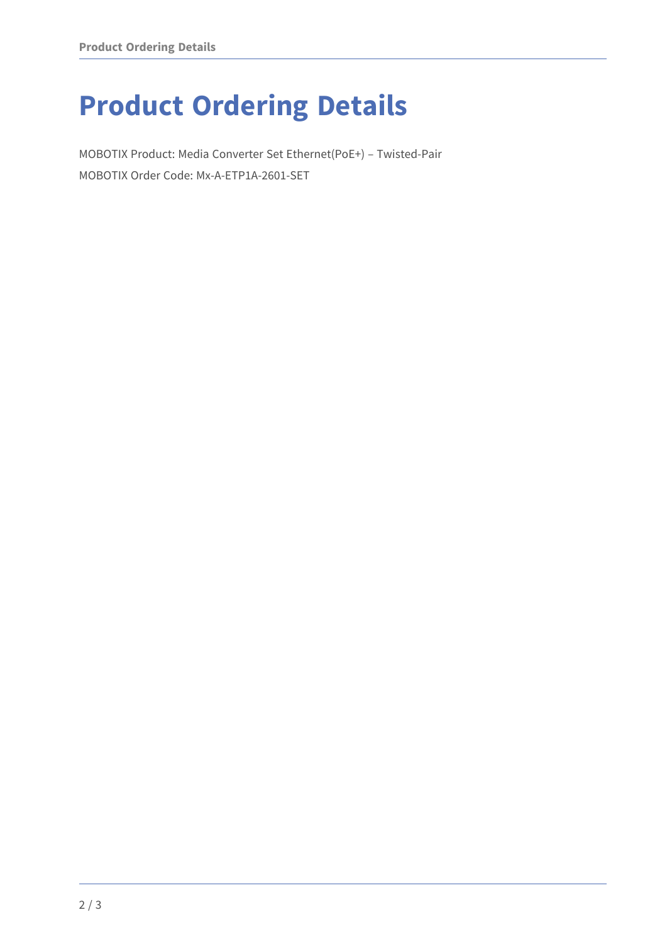## **Product Ordering Details**

MOBOTIX Product: Media Converter Set Ethernet(PoE+) – Twisted-Pair MOBOTIX Order Code: Mx-A-ETP1A-2601-SET